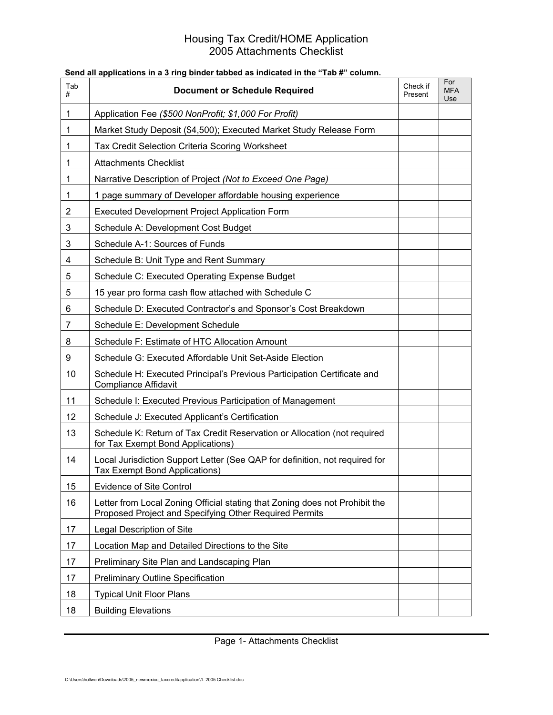| Tab<br>#       | <b>Document or Schedule Required</b>                                                                                                  | Check if<br>Present | For<br><b>MFA</b><br>Use |
|----------------|---------------------------------------------------------------------------------------------------------------------------------------|---------------------|--------------------------|
| 1              | Application Fee (\$500 NonProfit; \$1,000 For Profit)                                                                                 |                     |                          |
| 1              | Market Study Deposit (\$4,500); Executed Market Study Release Form                                                                    |                     |                          |
| 1              | Tax Credit Selection Criteria Scoring Worksheet                                                                                       |                     |                          |
| 1              | <b>Attachments Checklist</b>                                                                                                          |                     |                          |
| 1              | Narrative Description of Project (Not to Exceed One Page)                                                                             |                     |                          |
| 1              | 1 page summary of Developer affordable housing experience                                                                             |                     |                          |
| $\overline{2}$ | <b>Executed Development Project Application Form</b>                                                                                  |                     |                          |
| 3              | Schedule A: Development Cost Budget                                                                                                   |                     |                          |
| 3              | Schedule A-1: Sources of Funds                                                                                                        |                     |                          |
| 4              | Schedule B: Unit Type and Rent Summary                                                                                                |                     |                          |
| 5              | Schedule C: Executed Operating Expense Budget                                                                                         |                     |                          |
| 5              | 15 year pro forma cash flow attached with Schedule C                                                                                  |                     |                          |
| 6              | Schedule D: Executed Contractor's and Sponsor's Cost Breakdown                                                                        |                     |                          |
| 7              | Schedule E: Development Schedule                                                                                                      |                     |                          |
| 8              | Schedule F: Estimate of HTC Allocation Amount                                                                                         |                     |                          |
| 9              | Schedule G: Executed Affordable Unit Set-Aside Election                                                                               |                     |                          |
| 10             | Schedule H: Executed Principal's Previous Participation Certificate and<br><b>Compliance Affidavit</b>                                |                     |                          |
| 11             | Schedule I: Executed Previous Participation of Management                                                                             |                     |                          |
| 12             | Schedule J: Executed Applicant's Certification                                                                                        |                     |                          |
| 13             | Schedule K: Return of Tax Credit Reservation or Allocation (not required<br>for Tax Exempt Bond Applications)                         |                     |                          |
| 14             | Local Jurisdiction Support Letter (See QAP for definition, not required for<br><b>Tax Exempt Bond Applications)</b>                   |                     |                          |
| 15             | <b>Evidence of Site Control</b>                                                                                                       |                     |                          |
| 16             | Letter from Local Zoning Official stating that Zoning does not Prohibit the<br>Proposed Project and Specifying Other Required Permits |                     |                          |
| 17             | Legal Description of Site                                                                                                             |                     |                          |
| 17             | Location Map and Detailed Directions to the Site                                                                                      |                     |                          |
| 17             | Preliminary Site Plan and Landscaping Plan                                                                                            |                     |                          |
| 17             | <b>Preliminary Outline Specification</b>                                                                                              |                     |                          |
| 18             | <b>Typical Unit Floor Plans</b>                                                                                                       |                     |                          |
| 18             | <b>Building Elevations</b>                                                                                                            |                     |                          |

#### Send all applications in a 3 ring binder tabbed as indicated in the "Tab #" column.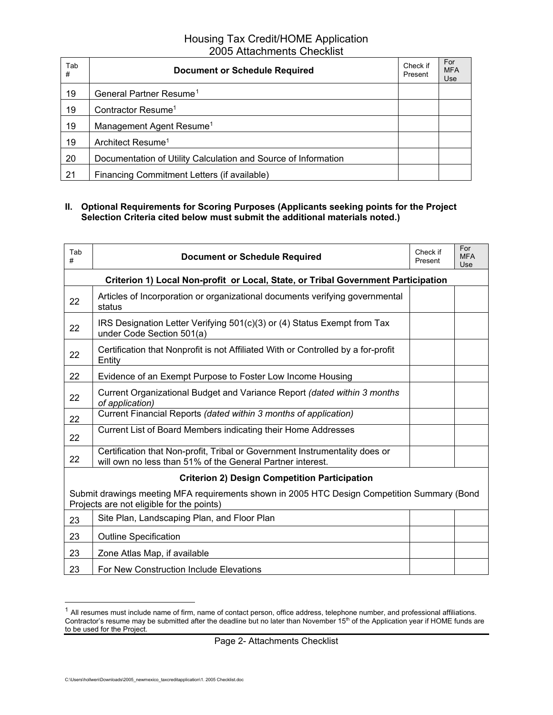| Tab<br># | <b>Document or Schedule Required</b>                           | Check if<br>Present | For<br><b>MFA</b><br>Use |
|----------|----------------------------------------------------------------|---------------------|--------------------------|
| 19       | General Partner Resume <sup>1</sup>                            |                     |                          |
| 19       | Contractor Resume <sup>1</sup>                                 |                     |                          |
| 19       | Management Agent Resume <sup>1</sup>                           |                     |                          |
| 19       | Architect Resume <sup>1</sup>                                  |                     |                          |
| 20       | Documentation of Utility Calculation and Source of Information |                     |                          |
| 21       | Financing Commitment Letters (if available)                    |                     |                          |

### **II. Optional Requirements for Scoring Purposes (Applicants seeking points for the Project Selection Criteria cited below must submit the additional materials noted.)**

| Tab<br>#                                                                                                                                 | <b>Document or Schedule Required</b>                                                                                                      | Check if<br>Present | For<br><b>MFA</b><br>Use |  |
|------------------------------------------------------------------------------------------------------------------------------------------|-------------------------------------------------------------------------------------------------------------------------------------------|---------------------|--------------------------|--|
|                                                                                                                                          | Criterion 1) Local Non-profit or Local, State, or Tribal Government Participation                                                         |                     |                          |  |
| 22                                                                                                                                       | Articles of Incorporation or organizational documents verifying governmental<br>status                                                    |                     |                          |  |
| 22                                                                                                                                       | IRS Designation Letter Verifying 501(c)(3) or (4) Status Exempt from Tax<br>under Code Section 501(a)                                     |                     |                          |  |
| 22                                                                                                                                       | Certification that Nonprofit is not Affiliated With or Controlled by a for-profit<br>Entity                                               |                     |                          |  |
| 22                                                                                                                                       | Evidence of an Exempt Purpose to Foster Low Income Housing                                                                                |                     |                          |  |
| 22                                                                                                                                       | Current Organizational Budget and Variance Report (dated within 3 months<br>of application)                                               |                     |                          |  |
| 22                                                                                                                                       | Current Financial Reports (dated within 3 months of application)                                                                          |                     |                          |  |
| 22                                                                                                                                       | Current List of Board Members indicating their Home Addresses                                                                             |                     |                          |  |
| 22                                                                                                                                       | Certification that Non-profit, Tribal or Government Instrumentality does or<br>will own no less than 51% of the General Partner interest. |                     |                          |  |
| <b>Criterion 2) Design Competition Participation</b>                                                                                     |                                                                                                                                           |                     |                          |  |
| Submit drawings meeting MFA requirements shown in 2005 HTC Design Competition Summary (Bond<br>Projects are not eligible for the points) |                                                                                                                                           |                     |                          |  |
| 23                                                                                                                                       | Site Plan, Landscaping Plan, and Floor Plan                                                                                               |                     |                          |  |
| 23                                                                                                                                       | <b>Outline Specification</b>                                                                                                              |                     |                          |  |
| 23                                                                                                                                       | Zone Atlas Map, if available                                                                                                              |                     |                          |  |
| 23                                                                                                                                       | For New Construction Include Elevations                                                                                                   |                     |                          |  |

<span id="page-1-0"></span> $1$  All resumes must include name of firm, name of contact person, office address, telephone number, and professional affiliations. Contractor's resume may be submitted after the deadline but no later than November 15<sup>th</sup> of the Application year if HOME funds are to be used for the Project.

-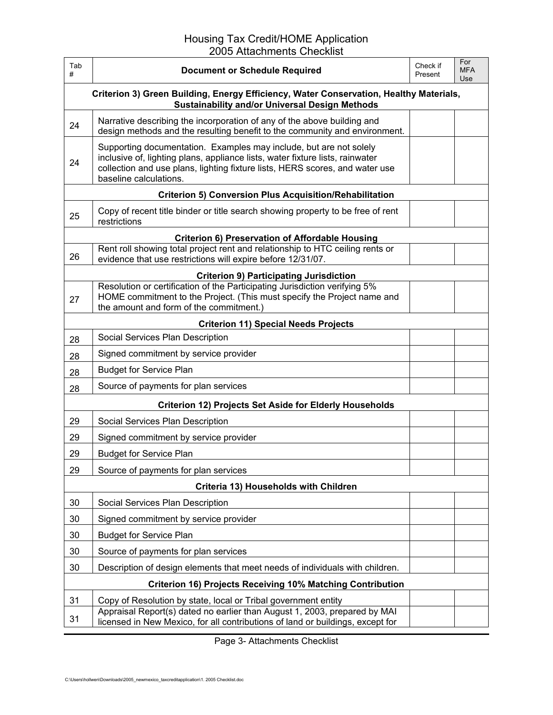| Tab<br>#                                                          | <b>Document or Schedule Required</b>                                                                                                                                                                                                                          | Check if<br>Present | For<br><b>MFA</b><br>Use |  |
|-------------------------------------------------------------------|---------------------------------------------------------------------------------------------------------------------------------------------------------------------------------------------------------------------------------------------------------------|---------------------|--------------------------|--|
|                                                                   | Criterion 3) Green Building, Energy Efficiency, Water Conservation, Healthy Materials,<br><b>Sustainability and/or Universal Design Methods</b>                                                                                                               |                     |                          |  |
| 24                                                                | Narrative describing the incorporation of any of the above building and<br>design methods and the resulting benefit to the community and environment.                                                                                                         |                     |                          |  |
| 24                                                                | Supporting documentation. Examples may include, but are not solely<br>inclusive of, lighting plans, appliance lists, water fixture lists, rainwater<br>collection and use plans, lighting fixture lists, HERS scores, and water use<br>baseline calculations. |                     |                          |  |
|                                                                   | <b>Criterion 5) Conversion Plus Acquisition/Rehabilitation</b>                                                                                                                                                                                                |                     |                          |  |
| 25                                                                | Copy of recent title binder or title search showing property to be free of rent<br>restrictions                                                                                                                                                               |                     |                          |  |
|                                                                   | <b>Criterion 6) Preservation of Affordable Housing</b>                                                                                                                                                                                                        |                     |                          |  |
| 26                                                                | Rent roll showing total project rent and relationship to HTC ceiling rents or<br>evidence that use restrictions will expire before 12/31/07.                                                                                                                  |                     |                          |  |
|                                                                   | <b>Criterion 9) Participating Jurisdiction</b>                                                                                                                                                                                                                |                     |                          |  |
| 27                                                                | Resolution or certification of the Participating Jurisdiction verifying 5%<br>HOME commitment to the Project. (This must specify the Project name and<br>the amount and form of the commitment.)                                                              |                     |                          |  |
|                                                                   | <b>Criterion 11) Special Needs Projects</b>                                                                                                                                                                                                                   |                     |                          |  |
| 28                                                                | Social Services Plan Description                                                                                                                                                                                                                              |                     |                          |  |
| 28                                                                | Signed commitment by service provider                                                                                                                                                                                                                         |                     |                          |  |
| 28                                                                | <b>Budget for Service Plan</b>                                                                                                                                                                                                                                |                     |                          |  |
| 28                                                                | Source of payments for plan services                                                                                                                                                                                                                          |                     |                          |  |
|                                                                   | <b>Criterion 12) Projects Set Aside for Elderly Households</b>                                                                                                                                                                                                |                     |                          |  |
| 29                                                                | Social Services Plan Description                                                                                                                                                                                                                              |                     |                          |  |
| 29                                                                | Signed commitment by service provider                                                                                                                                                                                                                         |                     |                          |  |
| 29                                                                | <b>Budget for Service Plan</b>                                                                                                                                                                                                                                |                     |                          |  |
| 29                                                                | Source of payments for plan services                                                                                                                                                                                                                          |                     |                          |  |
|                                                                   | Criteria 13) Households with Children                                                                                                                                                                                                                         |                     |                          |  |
| 30                                                                | Social Services Plan Description                                                                                                                                                                                                                              |                     |                          |  |
| 30                                                                | Signed commitment by service provider                                                                                                                                                                                                                         |                     |                          |  |
| 30                                                                | <b>Budget for Service Plan</b>                                                                                                                                                                                                                                |                     |                          |  |
| 30                                                                | Source of payments for plan services                                                                                                                                                                                                                          |                     |                          |  |
| 30                                                                | Description of design elements that meet needs of individuals with children.                                                                                                                                                                                  |                     |                          |  |
| <b>Criterion 16) Projects Receiving 10% Matching Contribution</b> |                                                                                                                                                                                                                                                               |                     |                          |  |
| 31                                                                | Copy of Resolution by state, local or Tribal government entity                                                                                                                                                                                                |                     |                          |  |
| 31                                                                | Appraisal Report(s) dated no earlier than August 1, 2003, prepared by MAI<br>licensed in New Mexico, for all contributions of land or buildings, except for                                                                                                   |                     |                          |  |

Page 3- Attachments Checklist